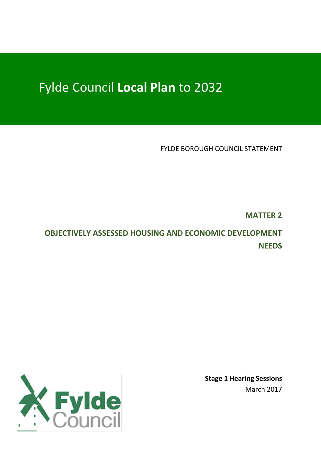# Fylde Council **Local Plan** to 2032

FYLDE BOROUGH COUNCIL STATEMENT

**MATTER 2**

**OBJECTIVELY ASSESSED HOUSING AND ECONOMIC DEVELOPMENT NEEDS**

> **Stage 1 Hearing Sessions** March 2017

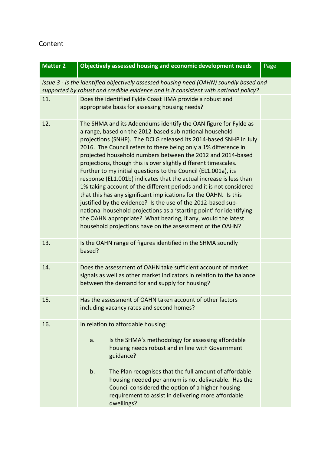# Content

| <b>Matter 2</b>                                                                                                                                                                | Objectively assessed housing and economic development needs                                                                                                                                                                                                                                                                                                                                                                                                                                                                                                                                                                                                                                                                                                                                                                                                                                                                                                   | Page |  |
|--------------------------------------------------------------------------------------------------------------------------------------------------------------------------------|---------------------------------------------------------------------------------------------------------------------------------------------------------------------------------------------------------------------------------------------------------------------------------------------------------------------------------------------------------------------------------------------------------------------------------------------------------------------------------------------------------------------------------------------------------------------------------------------------------------------------------------------------------------------------------------------------------------------------------------------------------------------------------------------------------------------------------------------------------------------------------------------------------------------------------------------------------------|------|--|
| Issue 3 - Is the identified objectively assessed housing need (OAHN) soundly based and<br>supported by robust and credible evidence and is it consistent with national policy? |                                                                                                                                                                                                                                                                                                                                                                                                                                                                                                                                                                                                                                                                                                                                                                                                                                                                                                                                                               |      |  |
| 11.                                                                                                                                                                            | Does the identified Fylde Coast HMA provide a robust and<br>appropriate basis for assessing housing needs?                                                                                                                                                                                                                                                                                                                                                                                                                                                                                                                                                                                                                                                                                                                                                                                                                                                    |      |  |
| 12.                                                                                                                                                                            | The SHMA and its Addendums identify the OAN figure for Fylde as<br>a range, based on the 2012-based sub-national household<br>projections (SNHP). The DCLG released its 2014-based SNHP in July<br>2016. The Council refers to there being only a 1% difference in<br>projected household numbers between the 2012 and 2014-based<br>projections, though this is over slightly different timescales.<br>Further to my initial questions to the Council (EL1.001a), its<br>response (EL1.001b) indicates that the actual increase is less than<br>1% taking account of the different periods and it is not considered<br>that this has any significant implications for the OAHN. Is this<br>justified by the evidence? Is the use of the 2012-based sub-<br>national household projections as a 'starting point' for identifying<br>the OAHN appropriate? What bearing, if any, would the latest<br>household projections have on the assessment of the OAHN? |      |  |
| 13.                                                                                                                                                                            | Is the OAHN range of figures identified in the SHMA soundly<br>based?                                                                                                                                                                                                                                                                                                                                                                                                                                                                                                                                                                                                                                                                                                                                                                                                                                                                                         |      |  |
| 14.                                                                                                                                                                            | Does the assessment of OAHN take sufficient account of market<br>signals as well as other market indicators in relation to the balance<br>between the demand for and supply for housing?                                                                                                                                                                                                                                                                                                                                                                                                                                                                                                                                                                                                                                                                                                                                                                      |      |  |
| 15.                                                                                                                                                                            | Has the assessment of OAHN taken account of other factors<br>including vacancy rates and second homes?                                                                                                                                                                                                                                                                                                                                                                                                                                                                                                                                                                                                                                                                                                                                                                                                                                                        |      |  |
| 16.                                                                                                                                                                            | In relation to affordable housing:<br>Is the SHMA's methodology for assessing affordable<br>a.<br>housing needs robust and in line with Government<br>guidance?<br>b.<br>The Plan recognises that the full amount of affordable                                                                                                                                                                                                                                                                                                                                                                                                                                                                                                                                                                                                                                                                                                                               |      |  |
|                                                                                                                                                                                | housing needed per annum is not deliverable. Has the<br>Council considered the option of a higher housing<br>requirement to assist in delivering more affordable<br>dwellings?                                                                                                                                                                                                                                                                                                                                                                                                                                                                                                                                                                                                                                                                                                                                                                                |      |  |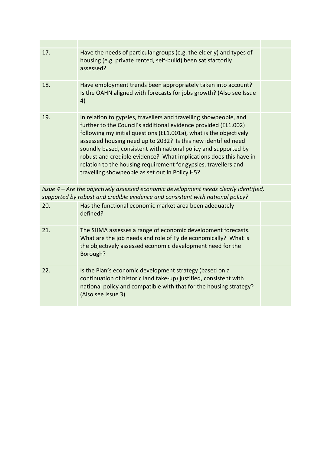| 17.                                                                                                                                                                     | Have the needs of particular groups (e.g. the elderly) and types of<br>housing (e.g. private rented, self-build) been satisfactorily<br>assessed?                                                                                                                                                                                                                                                                                                                                                                                        |  |
|-------------------------------------------------------------------------------------------------------------------------------------------------------------------------|------------------------------------------------------------------------------------------------------------------------------------------------------------------------------------------------------------------------------------------------------------------------------------------------------------------------------------------------------------------------------------------------------------------------------------------------------------------------------------------------------------------------------------------|--|
| 18.                                                                                                                                                                     | Have employment trends been appropriately taken into account?<br>Is the OAHN aligned with forecasts for jobs growth? (Also see Issue<br>4)                                                                                                                                                                                                                                                                                                                                                                                               |  |
| 19.                                                                                                                                                                     | In relation to gypsies, travellers and travelling showpeople, and<br>further to the Council's additional evidence provided (EL1.002)<br>following my initial questions (EL1.001a), what is the objectively<br>assessed housing need up to 2032? Is this new identified need<br>soundly based, consistent with national policy and supported by<br>robust and credible evidence? What implications does this have in<br>relation to the housing requirement for gypsies, travellers and<br>travelling showpeople as set out in Policy H5? |  |
| Issue 4 – Are the objectively assessed economic development needs clearly identified,<br>supported by robust and credible evidence and consistent with national policy? |                                                                                                                                                                                                                                                                                                                                                                                                                                                                                                                                          |  |
| 20.                                                                                                                                                                     | Has the functional economic market area been adequately<br>defined?                                                                                                                                                                                                                                                                                                                                                                                                                                                                      |  |
| 21.                                                                                                                                                                     | The SHMA assesses a range of economic development forecasts.<br>What are the job needs and role of Fylde economically? What is<br>the objectively assessed economic development need for the<br>Borough?                                                                                                                                                                                                                                                                                                                                 |  |
| 22.                                                                                                                                                                     | Is the Plan's economic development strategy (based on a<br>continuation of historic land take-up) justified, consistent with<br>national policy and compatible with that for the housing strategy?<br>(Also see Issue 3)                                                                                                                                                                                                                                                                                                                 |  |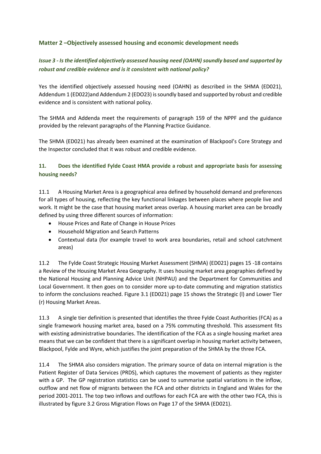#### **Matter 2 –Objectively assessed housing and economic development needs**

### *Issue 3 - Is the identified objectively assessed housing need (OAHN) soundly based and supported by robust and credible evidence and is it consistent with national policy?*

Yes the identified objectively assessed housing need (OAHN) as described in the SHMA (ED021), Addendum 1 (ED022)and Addendum 2 (EDO23) is soundly based and supported by robust and credible evidence and is consistent with national policy.

The SHMA and Addenda meet the requirements of paragraph 159 of the NPPF and the guidance provided by the relevant paragraphs of the Planning Practice Guidance.

The SHMA (ED021) has already been examined at the examination of Blackpool's Core Strategy and the Inspector concluded that it was robust and credible evidence.

#### **11. Does the identified Fylde Coast HMA provide a robust and appropriate basis for assessing housing needs?**

11.1 A Housing Market Area is a geographical area defined by household demand and preferences for all types of housing, reflecting the key functional linkages between places where people live and work. It might be the case that housing market areas overlap. A housing market area can be broadly defined by using three different sources of information:

- House Prices and Rate of Change in House Prices
- Household Migration and Search Patterns
- Contextual data (for example travel to work area boundaries, retail and school catchment areas)

11.2 The Fylde Coast Strategic Housing Market Assessment (SHMA) (ED021) pages 15 -18 contains a Review of the Housing Market Area Geography. It uses housing market area geographies defined by the National Housing and Planning Advice Unit (NHPAU) and the Department for Communities and Local Government. It then goes on to consider more up-to-date commuting and migration statistics to inform the conclusions reached. Figure 3.1 (ED021) page 15 shows the Strategic (l) and Lower Tier (r) Housing Market Areas.

11.3 A single tier definition is presented that identifies the three Fylde Coast Authorities (FCA) as a single framework housing market area, based on a 75% commuting threshold. This assessment fits with existing administrative boundaries. The identification of the FCA as a single housing market area means that we can be confident that there is a significant overlap in housing market activity between, Blackpool, Fylde and Wyre, which justifies the joint preparation of the SHMA by the three FCA.

11.4 The SHMA also considers migration. The primary source of data on internal migration is the Patient Register of Data Services (PRDS), which captures the movement of patients as they register with a GP. The GP registration statistics can be used to summarise spatial variations in the inflow, outflow and net flow of migrants between the FCA and other districts in England and Wales for the period 2001-2011. The top two inflows and outflows for each FCA are with the other two FCA, this is illustrated by figure 3.2 Gross Migration Flows on Page 17 of the SHMA (ED021).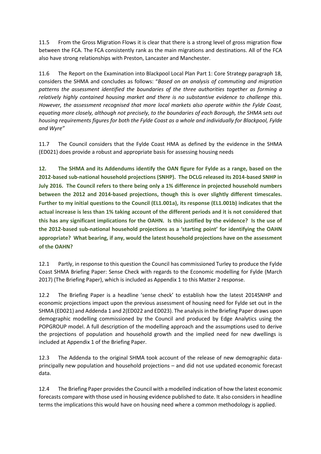11.5 From the Gross Migration Flows it is clear that there is a strong level of gross migration flow between the FCA. The FCA consistently rank as the main migrations and destinations. All of the FCA also have strong relationships with Preston, Lancaster and Manchester.

11.6 The Report on the Examination into Blackpool Local Plan Part 1: Core Strategy paragraph 18, considers the SHMA and concludes as follows: "*Based on an analysis of commuting and migration patterns the assessment identified the boundaries of the three authorities together as forming a relatively highly contained housing market and there is no substantive evidence to challenge this. However, the assessment recognised that more local markets also operate within the Fylde Coast, equating more closely, although not precisely, to the boundaries of each Borough, the SHMA sets out housing requirements figures for both the Fylde Coast as a whole and individually for Blackpool, Fylde and Wyre"*

11.7 The Council considers that the Fylde Coast HMA as defined by the evidence in the SHMA (ED021) does provide a robust and appropriate basis for assessing housing needs

**12. The SHMA and its Addendums identify the OAN figure for Fylde as a range, based on the 2012-based sub-national household projections (SNHP). The DCLG released its 2014-based SNHP in July 2016. The Council refers to there being only a 1% difference in projected household numbers between the 2012 and 2014-based projections, though this is over slightly different timescales. Further to my initial questions to the Council (EL1.001a), its response (EL1.001b) indicates that the actual increase is less than 1% taking account of the different periods and it is not considered that this has any significant implications for the OAHN. Is this justified by the evidence? Is the use of the 2012-based sub-national household projections as a 'starting point' for identifying the OAHN appropriate? What bearing, if any, would the latest household projections have on the assessment of the OAHN?**

12.1 Partly, in response to this question the Council has commissioned Turley to produce the Fylde Coast SHMA Briefing Paper: Sense Check with regards to the Economic modelling for Fylde (March 2017) (The Briefing Paper), which is included as Appendix 1 to this Matter 2 response.

12.2 The Briefing Paper is a headline 'sense check' to establish how the latest 2014SNHP and economic projections impact upon the previous assessment of housing need for Fylde set out in the SHMA (ED021) and Addenda 1 and 2(ED022 and ED023). The analysis in the Briefing Paper draws upon demographic modelling commissioned by the Council and produced by Edge Analytics using the POPGROUP model. A full description of the modelling approach and the assumptions used to derive the projections of population and household growth and the implied need for new dwellings is included at Appendix 1 of the Briefing Paper.

12.3 The Addenda to the original SHMA took account of the release of new demographic dataprincipally new population and household projections – and did not use updated economic forecast data.

12.4 The Briefing Paper provides the Council with a modelled indication of how the latest economic forecasts compare with those used in housing evidence published to date. It also considers in headline terms the implications this would have on housing need where a common methodology is applied.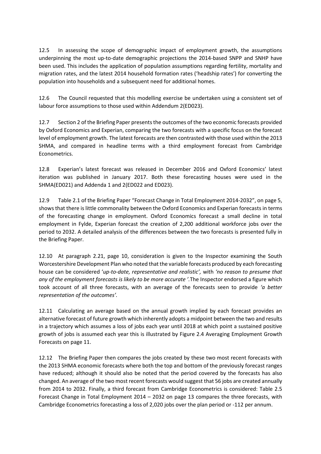12.5 In assessing the scope of demographic impact of employment growth, the assumptions underpinning the most up-to-date demographic projections the 2014-based SNPP and SNHP have been used. This includes the application of population assumptions regarding fertility, mortality and migration rates, and the latest 2014 household formation rates ('headship rates') for converting the population into households and a subsequent need for additional homes.

12.6 The Council requested that this modelling exercise be undertaken using a consistent set of labour force assumptions to those used within Addendum 2(ED023).

12.7 Section 2 of the Briefing Paper presents the outcomes of the two economic forecasts provided by Oxford Economics and Experian, comparing the two forecasts with a specific focus on the forecast level of employment growth. The latest forecasts are then contrasted with those used within the 2013 SHMA, and compared in headline terms with a third employment forecast from Cambridge Econometrics.

12.8 Experian's latest forecast was released in December 2016 and Oxford Economics' latest iteration was published in January 2017. Both these forecasting houses were used in the SHMA(ED021) and Addenda 1 and 2(ED022 and ED023).

12.9 Table 2.1 of the Briefing Paper "Forecast Change in Total Employment 2014-2032", on page 5, shows that there is little commonality between the Oxford Economics and Experian forecasts in terms of the forecasting change in employment. Oxford Economics forecast a small decline in total employment in Fylde, Experian forecast the creation of 2,200 additional workforce jobs over the period to 2032. A detailed analysis of the differences between the two forecasts is presented fully in the Briefing Paper.

12.10 At paragraph 2.21, page 10, consideration is given to the Inspector examining the South Worcestershire Development Plan who noted that the variable forecasts produced by each forecasting house can be considered '*up-to-date, representative and realistic',* with *'no reason to presume that any of the employment forecasts is likely to be more accurate '.*The Inspector endorsed a figure which took account of all three forecasts, with an average of the forecasts seen to provide *'a better representation of the outcomes'.* 

12.11 Calculating an average based on the annual growth implied by each forecast provides an alternative forecast of future growth which inherently adopts a midpoint between the two and results in a trajectory which assumes a loss of jobs each year until 2018 at which point a sustained positive growth of jobs is assumed each year this is illustrated by Figure 2.4 Averaging Employment Growth Forecasts on page 11.

12.12 The Briefing Paper then compares the jobs created by these two most recent forecasts with the 2013 SHMA economic forecasts where both the top and bottom of the previously forecast ranges have reduced; although it should also be noted that the period covered by the forecasts has also changed. An average of the two most recent forecasts would suggest that 56 jobs are created annually from 2014 to 2032. Finally, a third forecast from Cambridge Econometrics is considered: Table 2.5 Forecast Change in Total Employment 2014 – 2032 on page 13 compares the three forecasts, with Cambridge Econometrics forecasting a loss of 2,020 jobs over the plan period or -112 per annum.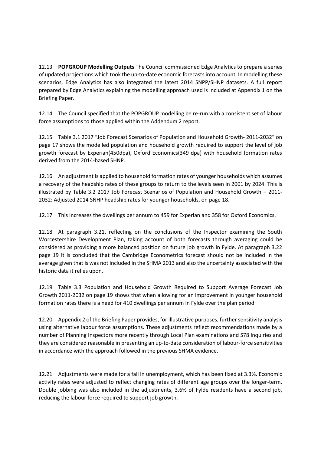12.13 **POPGROUP Modelling Outputs** The Council commissioned Edge Analytics to prepare a series of updated projections which took the up-to-date economic forecasts into account. In modelling these scenarios, Edge Analytics has also integrated the latest 2014 SNPP/SHNP datasets. A full report prepared by Edge Analytics explaining the modelling approach used is included at Appendix 1 on the Briefing Paper.

12.14 The Council specified that the POPGROUP modelling be re-run with a consistent set of labour force assumptions to those applied within the Addendum 2 report.

12.15 Table 3.1 2017 "Job Forecast Scenarios of Population and Household Growth- 2011-2032" on page 17 shows the modelled population and household growth required to support the level of job growth forecast by Experian(450dpa), Oxford Economics(349 dpa) with household formation rates derived from the 2014-based SHNP.

12.16 An adjustment is applied to household formation rates of younger households which assumes a recovery of the headship rates of these groups to return to the levels seen in 2001 by 2024. This is illustrated by Table 3.2 2017 Job Forecast Scenarios of Population and Household Growth – 2011- 2032: Adjusted 2014 SNHP headship rates for younger households, on page 18.

12.17 This increases the dwellings per annum to 459 for Experian and 358 for Oxford Economics.

12.18 At paragraph 3.21, reflecting on the conclusions of the Inspector examining the South Worcestershire Development Plan, taking account of both forecasts through averaging could be considered as providing a more balanced position on future job growth in Fylde. At paragraph 3.22 page 19 it is concluded that the Cambridge Econometrics forecast should not be included in the average given that is was not included in the SHMA 2013 and also the uncertainty associated with the historic data it relies upon.

12.19 Table 3.3 Population and Household Growth Required to Support Average Forecast Job Growth 2011-2032 on page 19 shows that when allowing for an improvement in younger household formation rates there is a need for 410 dwellings per annum in Fylde over the plan period.

12.20 Appendix 2 of the Briefing Paper provides, for illustrative purposes, further sensitivity analysis using alternative labour force assumptions. These adjustments reflect recommendations made by a number of Planning Inspectors more recently through Local Plan examinations and S78 Inquiries and they are considered reasonable in presenting an up-to-date consideration of labour-force sensitivities in accordance with the approach followed in the previous SHMA evidence.

12.21 Adjustments were made for a fall in unemployment, which has been fixed at 3.3%. Economic activity rates were adjusted to reflect changing rates of different age groups over the longer-term. Double jobbing was also included in the adjustments, 3.6% of Fylde residents have a second job, reducing the labour force required to support job growth.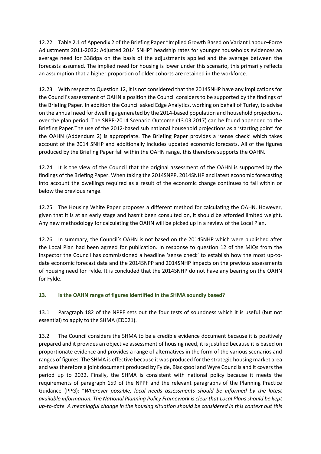12.22 Table 2.1 of Appendix 2 of the Briefing Paper "Implied Growth Based on Variant Labour–Force Adjustments 2011-2032: Adjusted 2014 SNHP" headship rates for younger households evidences an average need for 338dpa on the basis of the adjustments applied and the average between the forecasts assumed. The implied need for housing is lower under this scenario, this primarily reflects an assumption that a higher proportion of older cohorts are retained in the workforce.

12.23 With respect to Question 12, it is not considered that the 2014SNHP have any implications for the Council's assessment of OAHN a position the Council considers to be supported by the findings of the Briefing Paper. In addition the Council asked Edge Analytics, working on behalf of Turley, to advise on the annual need for dwellings generated by the 2014-based population and household projections, over the plan period. The SNPP-2014 Scenario Outcome (13.03.2017) can be found appended to the Briefing Paper.The use of the 2012-based sub national household projections as a 'starting point' for the OAHN (Addendum 2) is appropriate. The Briefing Paper provides a 'sense check' which takes account of the 2014 SNHP and additionally includes updated economic forecasts. All of the figures produced by the Briefing Paper fall within the OAHN range, this therefore supports the OAHN.

12.24 It is the view of the Council that the original assessment of the OAHN is supported by the findings of the Briefing Paper. When taking the 2014SNPP, 2014SNHP and latest economic forecasting into account the dwellings required as a result of the economic change continues to fall within or below the previous range.

12.25 The Housing White Paper proposes a different method for calculating the OAHN. However, given that it is at an early stage and hasn't been consulted on, it should be afforded limited weight. Any new methodology for calculating the OAHN will be picked up in a review of the Local Plan.

12.26 In summary, the Council's OAHN is not based on the 2014SNHP which were published after the Local Plan had been agreed for publication. In response to question 12 of the MIQs from the Inspector the Council has commissioned a headline 'sense check' to establish how the most up-todate economic forecast data and the 2014SNPP and 2014SNHP impacts on the previous assessments of housing need for Fylde. It is concluded that the 2014SNHP do not have any bearing on the OAHN for Fylde.

#### **13. Is the OAHN range of figures identified in the SHMA soundly based?**

13.1 Paragraph 182 of the NPPF sets out the four tests of soundness which it is useful (but not essential) to apply to the SHMA (ED021).

13.2 The Council considers the SHMA to be a credible evidence document because it is positively prepared and it provides an objective assessment of housing need, it is justified because it is based on proportionate evidence and provides a range of alternatives in the form of the various scenarios and ranges of figures. The SHMA is effective because it was produced for the strategic housing market area and was therefore a joint document produced by Fylde, Blackpool and Wyre Councils and it covers the period up to 2032. Finally, the SHMA is consistent with national policy because it meets the requirements of paragraph 159 of the NPPF and the relevant paragraphs of the Planning Practice Guidance (PPG): "*Wherever possible, local needs assessments should be informed by the latest available information. The National Planning Policy Framework is clear that Local Plans should be kept up-to-date. A meaningful change in the housing situation should be considered in this context but this*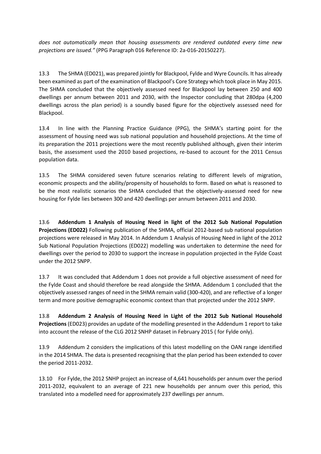*does not automatically mean that housing assessments are rendered outdated every time new projections are issued."* (PPG Paragraph 016 Reference ID: 2a-016-20150227).

13.3 The SHMA (ED021), was prepared jointly for Blackpool, Fylde and Wyre Councils. It has already been examined as part of the examination of Blackpool's Core Strategy which took place in May 2015. The SHMA concluded that the objectively assessed need for Blackpool lay between 250 and 400 dwellings per annum between 2011 and 2030, with the Inspector concluding that 280dpa (4,200 dwellings across the plan period) is a soundly based figure for the objectively assessed need for Blackpool.

13.4 In line with the Planning Practice Guidance (PPG), the SHMA's starting point for the assessment of housing need was sub national population and household projections. At the time of its preparation the 2011 projections were the most recently published although, given their interim basis, the assessment used the 2010 based projections, re-based to account for the 2011 Census population data.

13.5 The SHMA considered seven future scenarios relating to different levels of migration, economic prospects and the ability/propensity of households to form. Based on what is reasoned to be the most realistic scenarios the SHMA concluded that the objectively-assessed need for new housing for Fylde lies between 300 and 420 dwellings per annum between 2011 and 2030.

13.6 **Addendum 1 Analysis of Housing Need in light of the 2012 Sub National Population Projections (ED022)** Following publication of the SHMA, official 2012-based sub national population projections were released in May 2014. In Addendum 1 Analysis of Housing Need in light of the 2012 Sub National Population Projections (ED022) modelling was undertaken to determine the need for dwellings over the period to 2030 to support the increase in population projected in the Fylde Coast under the 2012 SNPP.

13.7 It was concluded that Addendum 1 does not provide a full objective assessment of need for the Fylde Coast and should therefore be read alongside the SHMA. Addendum 1 concluded that the objectively assessed ranges of need in the SHMA remain valid (300-420), and are reflective of a longer term and more positive demographic economic context than that projected under the 2012 SNPP.

13.8 **Addendum 2 Analysis of Housing Need in Light of the 2012 Sub National Household Projections** (ED023) provides an update of the modelling presented in the Addendum 1 report to take into account the release of the CLG 2012 SNHP dataset in February 2015 ( for Fylde only).

13.9 Addendum 2 considers the implications of this latest modelling on the OAN range identified in the 2014 SHMA. The data is presented recognising that the plan period has been extended to cover the period 2011-2032.

13.10 For Fylde, the 2012 SNHP project an increase of 4,641 households per annum over the period 2011-2032, equivalent to an average of 221 new households per annum over this period, this translated into a modelled need for approximately 237 dwellings per annum.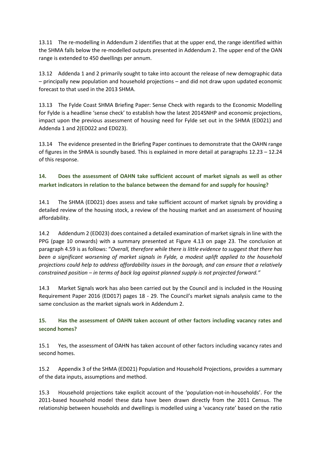13.11 The re-modelling in Addendum 2 identifies that at the upper end, the range identified within the SHMA falls below the re-modelled outputs presented in Addendum 2. The upper end of the OAN range is extended to 450 dwellings per annum.

13.12 Addenda 1 and 2 primarily sought to take into account the release of new demographic data – principally new population and household projections – and did not draw upon updated economic forecast to that used in the 2013 SHMA.

13.13 The Fylde Coast SHMA Briefing Paper: Sense Check with regards to the Economic Modelling for Fylde is a headline 'sense check' to establish how the latest 2014SNHP and economic projections, impact upon the previous assessment of housing need for Fylde set out in the SHMA (ED021) and Addenda 1 and 2(ED022 and ED023).

13.14 The evidence presented in the Briefing Paper continues to demonstrate that the OAHN range of figures in the SHMA is soundly based. This is explained in more detail at paragraphs 12.23 – 12.24 of this response.

## **14. Does the assessment of OAHN take sufficient account of market signals as well as other market indicators in relation to the balance between the demand for and supply for housing?**

14.1 The SHMA (ED021) does assess and take sufficient account of market signals by providing a detailed review of the housing stock, a review of the housing market and an assessment of housing affordability.

14.2 Addendum 2 (ED023) does contained a detailed examination of market signals in line with the PPG (page 10 onwards) with a summary presented at Figure 4.13 on page 23. The conclusion at paragraph 4.59 is as follows: "*Overall, therefore while there is little evidence to suggest that there has been a significant worsening of market signals in Fylde, a modest uplift applied to the household projections could help to address affordability issues in the borough, and can ensure that a relatively constrained position – in terms of back log against planned supply is not projected forward."*

14.3 Market Signals work has also been carried out by the Council and is included in the Housing Requirement Paper 2016 (ED017) pages 18 - 29. The Council's market signals analysis came to the same conclusion as the market signals work in Addendum 2.

## **15. Has the assessment of OAHN taken account of other factors including vacancy rates and second homes?**

15.1 Yes, the assessment of OAHN has taken account of other factors including vacancy rates and second homes.

15.2 Appendix 3 of the SHMA (ED021) Population and Household Projections, provides a summary of the data inputs, assumptions and method.

15.3 Household projections take explicit account of the 'population-not-in-households'. For the 2011-based household model these data have been drawn directly from the 2011 Census. The relationship between households and dwellings is modelled using a 'vacancy rate' based on the ratio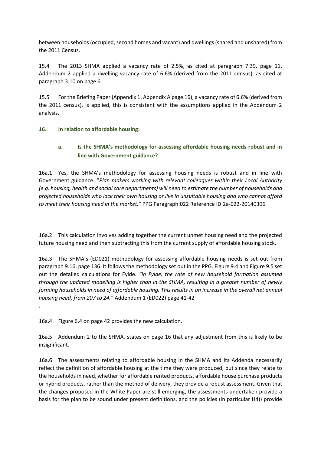between households (occupied, second homes and vacant) and dwellings (shared and unshared) from the 2011 Census.

15.4 The 2013 SHMA applied a vacancy rate of 2.5%, as cited at paragraph 7.39, page 11, Addendum 2 applied a dwelling vacancy rate of 6.6% (derived from the 2011 census), as cited at paragraph 3.10 on page 6.

15.5 For the Briefing Paper (Appendix 1, Appendix A page 16), a vacancy rate of 6.6% (derived from the 2011 census), is applied, this is consistent with the assumptions applied in the Addendum 2 analysis.

#### **16. In relation to affordable housing:**

#### **a. Is the SHMA's methodology for assessing affordable housing needs robust and in line with Government guidance?**

16a.1 Yes, the SHMA's methodology for assessing housing needs is robust and in line with Government guidance. "*Plan makers working with relevant colleagues within their Local Authority (e.g. housing, health and social care departments) will need to estimate the number of households and projected households who lack their own housing or live in unsuitable housing and who cannot afford to meet their housing need in the market."* PPG Paragraph:022 Reference ID:2a-022-20140306

16a.2 This calculation involves adding together the current unmet housing need and the projected future housing need and then subtracting this from the current supply of affordable housing stock.

16a.3 The SHMA's (ED021) methodology for assessing affordable housing needs is set out from paragraph 9.16, page 136. It follows the methodology set out in the PPG. Figure 9.4 and Figure 9.5 set out the detailed calculations for Fylde. *"In Fylde, the rate of new household formation assumed through the updated modelling is higher than in the SHMA, resulting in a greater number of newly forming households in need of affordable housing. This results in an increase in the overall net annual housing need, from 207 to 24."* Addendum 1 (ED022) page 41-42

16a.4 Figure 6.4 on page 42 provides the new calculation.

.

16a.5 Addendum 2 to the SHMA, states on page 16 that any adjustment from this is likely to be insignificant.

16a.6 The assessments relating to affordable housing in the SHMA and its Addenda necessarily reflect the definition of affordable housing at the time they were produced, but since they relate to the households in need, whether for affordable rented products, affordable house purchase products or hybrid products, rather than the method of delivery, they provide a robust assessment. Given that the changes proposed in the White Paper are still emerging, the assessments undertaken provide a basis for the plan to be sound under present definitions, and the policies (in particular H4)) provide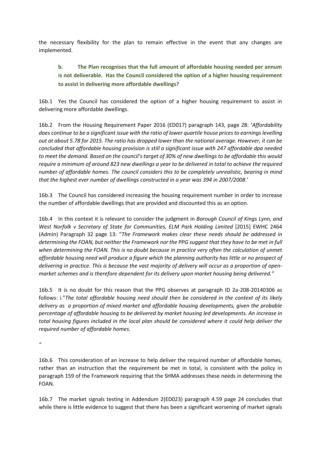the necessary flexibility for the plan to remain effective in the event that any changes are implemented.

# **b. The Plan recognises that the full amount of affordable housing needed per annum is not deliverable. Has the Council considered the option of a higher housing requirement to assist in delivering more affordable dwellings?**

16b.1 Yes the Council has considered the option of a higher housing requirement to assist in delivering more affordable dwellings.

16b.2 From the Housing Requirement Paper 2016 (ED017) paragraph 143, page 28: '*Affordability does continue to be a significant issue with the ratio of lower quartile house prices to earnings levelling out at about 5.78 for 2015. The ratio has dropped lower than the national average. However, it can be concluded that affordable housing provision is still a significant issue with 247 affordable dpa needed to meet the demand. Based on the council's target of 30% of new dwellings to be affordable this would require a minimum of around 823 new dwellings a year to be delivered in total to achieve the required number of affordable homes. The council considers this to be completely unrealistic, bearing in mind that the highest ever number of dwellings constructed in a year was 394 in 2007/2008*.'

16b.3 The Council has considered increasing the housing requirement number in order to increase the number of affordable dwellings that are provided and discounted this as an option.

16b.4 In this context it is relevant to consider the judgment in *Borough Council of Kings Lynn, and West Norfolk v Secretary of State for Communities, ELM Park Holding Limited* [2015] EWHC 2464 (Admin) Paragraph 32 page 13: "*The Framework makes clear these needs should be addressed in determining the FOAN, but neither the Framework nor the PPG suggest that they have to be met in full when determining the FOAN. This is no doubt because in practice very often the calculation of unmet affordable housing need will produce a figure which the planning authority has little or no prospect of delivering in practice. This is because the vast majority of delivery will occur as a proportion of openmarket schemes and is therefore dependent for its delivery upon market housing being delivered."*

16b.5 It is no doubt for this reason that the PPG observes at paragraph ID 2a-208-20140306 as follows: i."*The total affordable housing need should then be considered in the context of its likely delivery as a proportion of mixed market and affordable housing developments, given the probable percentage of affordable housing to be delivered by market housing led developments. An increase in total housing figures included in the local plan should be considered where it could help deliver the required number of affordable homes.*

*"*

16b.6 This consideration of an increase to help deliver the required number of affordable homes, rather than an instruction that the requirement be met in total, is consistent with the policy in paragraph 159 of the Framework requiring that the SHMA addresses these needs in determining the FOAN.

16b.7 The market signals testing in Addendum 2(ED023) paragraph 4.59 page 24 concludes that while there is little evidence to suggest that there has been a significant worsening of market signals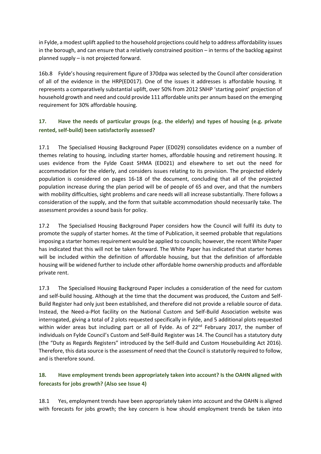in Fylde, a modest uplift applied to the household projections could help to address affordability issues in the borough, and can ensure that a relatively constrained position – in terms of the backlog against planned supply – is not projected forward.

16b.8 Fylde's housing requirement figure of 370dpa was selected by the Council after consideration of all of the evidence in the HRP(ED017). One of the issues it addresses is affordable housing. It represents a comparatively substantial uplift, over 50% from 2012 SNHP 'starting point' projection of household growth and need and could provide 111 affordable units per annum based on the emerging requirement for 30% affordable housing.

## **17. Have the needs of particular groups (e.g. the elderly) and types of housing (e.g. private rented, self-build) been satisfactorily assessed?**

17.1 The Specialised Housing Background Paper (ED029) consolidates evidence on a number of themes relating to housing, including starter homes, affordable housing and retirement housing. It uses evidence from the Fylde Coast SHMA (ED021) and elsewhere to set out the need for accommodation for the elderly, and considers issues relating to its provision. The projected elderly population is considered on pages 16-18 of the document, concluding that all of the projected population increase during the plan period will be of people of 65 and over, and that the numbers with mobility difficulties, sight problems and care needs will all increase substantially. There follows a consideration of the supply, and the form that suitable accommodation should necessarily take. The assessment provides a sound basis for policy.

17.2 The Specialised Housing Background Paper considers how the Council will fulfil its duty to promote the supply of starter homes. At the time of Publication, it seemed probable that regulations imposing a starter homes requirement would be applied to councils; however, the recent White Paper has indicated that this will not be taken forward. The White Paper has indicated that starter homes will be included within the definition of affordable housing, but that the definition of affordable housing will be widened further to include other affordable home ownership products and affordable private rent.

17.3 The Specialised Housing Background Paper includes a consideration of the need for custom and self-build housing. Although at the time that the document was produced, the Custom and Self-Build Register had only just been established, and therefore did not provide a reliable source of data. Instead, the Need-a-Plot facility on the National Custom and Self-Build Association website was interrogated, giving a total of 2 plots requested specifically in Fylde, and 5 additional plots requested within wider areas but including part or all of Fylde. As of  $22<sup>nd</sup>$  February 2017, the number of individuals on Fylde Council's Custom and Self-Build Register was 14. The Council has a statutory duty (the "Duty as Regards Registers" introduced by the Self-Build and Custom Housebuilding Act 2016). Therefore, this data source is the assessment of need that the Council is statutorily required to follow, and is therefore sound.

### **18. Have employment trends been appropriately taken into account? Is the OAHN aligned with forecasts for jobs growth? (Also see Issue 4)**

18.1 Yes, employment trends have been appropriately taken into account and the OAHN is aligned with forecasts for jobs growth; the key concern is how should employment trends be taken into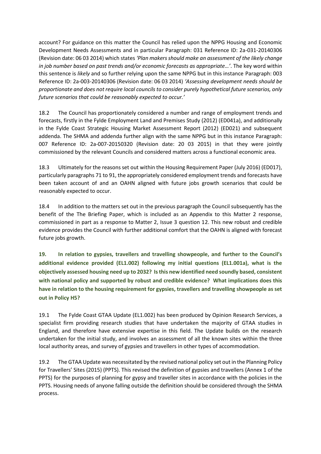account? For guidance on this matter the Council has relied upon the NPPG Housing and Economic Development Needs Assessments and in particular Paragraph: 031 Reference ID: 2a-031-20140306 (Revision date: 06 03 2014) which states *'Plan makers should make an assessment of the likely change in job number based on past trends and/or economic forecasts as appropriate…'*. The key word within this sentence is *likely* and so further relying upon the same NPPG but in this instance Paragraph: 003 Reference ID: 2a-003-20140306 (Revision date: 06 03 2014) *'Assessing development needs should be proportionate and does not require local councils to consider purely hypothetical future scenarios, only future scenarios that could be reasonably expected to occur.'*

18.2 The Council has proportionately considered a number and range of employment trends and forecasts, firstly in the Fylde Employment Land and Premises Study (2012) (ED041a), and additionally in the Fylde Coast Strategic Housing Market Assessment Report (2012) (ED021) and subsequent addenda. The SHMA and addenda further align with the same NPPG but in this instance Paragraph: 007 Reference ID: 2a-007-20150320 (Revision date: 20 03 2015) in that they were jointly commissioned by the relevant Councils and considered matters across a functional economic area.

18.3 Ultimately for the reasons set out within the Housing Requirement Paper (July 2016) (ED017), particularly paragraphs 71 to 91, the appropriately considered employment trends and forecasts have been taken account of and an OAHN aligned with future jobs growth scenarios that could be reasonably expected to occur.

18.4 In addition to the matters set out in the previous paragraph the Council subsequently has the benefit of the The Briefing Paper, which is included as an Appendix to this Matter 2 response, commissioned in part as a response to Matter 2, Issue 3 question 12. This new robust and credible evidence provides the Council with further additional comfort that the OAHN is aligned with forecast future jobs growth.

**19. In relation to gypsies, travellers and travelling showpeople, and further to the Council's additional evidence provided (EL1.002) following my initial questions (EL1.001a), what is the objectively assessed housing need up to 2032? Is this new identified need soundly based, consistent with national policy and supported by robust and credible evidence? What implications does this have in relation to the housing requirement for gypsies, travellers and travelling showpeople as set out in Policy H5?**

19.1 The Fylde Coast GTAA Update (EL1.002) has been produced by Opinion Research Services, a specialist firm providing research studies that have undertaken the majority of GTAA studies in England, and therefore have extensive expertise in this field. The Update builds on the research undertaken for the initial study, and involves an assessment of all the known sites within the three local authority areas, and survey of gypsies and travellers in other types of accommodation.

19.2 The GTAA Update was necessitated by the revised national policy set out in the Planning Policy for Travellers' Sites (2015) (PPTS). This revised the definition of gypsies and travellers (Annex 1 of the PPTS) for the purposes of planning for gypsy and traveller sites in accordance with the policies in the PPTS. Housing needs of anyone falling outside the definition should be considered through the SHMA process.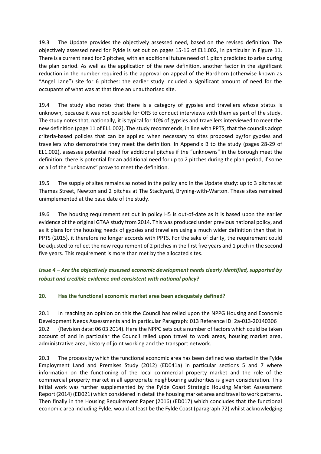19.3 The Update provides the objectively assessed need, based on the revised definition. The objectively assessed need for Fylde is set out on pages 15-16 of EL1.002, in particular in Figure 11. There is a current need for 2 pitches, with an additional future need of 1 pitch predicted to arise during the plan period. As well as the application of the new definition, another factor in the significant reduction in the number required is the approval on appeal of the Hardhorn (otherwise known as "Angel Lane") site for 6 pitches: the earlier study included a significant amount of need for the occupants of what was at that time an unauthorised site.

19.4 The study also notes that there is a category of gypsies and travellers whose status is unknown, because it was not possible for ORS to conduct interviews with them as part of the study. The study notes that, nationally, it is typical for 10% of gypsies and travellers interviewed to meet the new definition (page 11 of EL1.002). The study recommends, in line with PPTS, that the councils adopt criteria-based policies that can be applied when necessary to sites proposed by/for gypsies and travellers who demonstrate they meet the definition. In Appendix B to the study (pages 28-29 of EL1.002), assesses potential need for additional pitches if the "unknowns" in the borough meet the definition: there is potential for an additional need for up to 2 pitches during the plan period, if some or all of the "unknowns" prove to meet the definition.

19.5 The supply of sites remains as noted in the policy and in the Update study: up to 3 pitches at Thames Street, Newton and 2 pitches at The Stackyard, Bryning-with-Warton. These sites remained unimplemented at the base date of the study.

19.6 The housing requirement set out in policy H5 is out-of-date as it is based upon the earlier evidence of the original GTAA study from 2014. This was produced under previous national policy, and as it plans for the housing needs of gypsies and travellers using a much wider definition than that in PPTS (2015), it therefore no longer accords with PPTS. For the sake of clarity, the requirement could be adjusted to reflect the new requirement of 2 pitches in the first five years and 1 pitch in the second five years. This requirement is more than met by the allocated sites.

### *Issue 4 – Are the objectively assessed economic development needs clearly identified, supported by robust and credible evidence and consistent with national policy?*

#### **20. Has the functional economic market area been adequately defined?**

20.1 In reaching an opinion on this the Council has relied upon the NPPG Housing and Economic Development Needs Assessments and in particular Paragraph: 013 Reference ID: 2a-013-20140306 20.2 (Revision date: 06 03 2014). Here the NPPG sets out a number of factors which could be taken account of and in particular the Council relied upon travel to work areas, housing market area, administrative area, history of joint working and the transport network.

20.3 The process by which the functional economic area has been defined was started in the Fylde Employment Land and Premises Study (2012) (ED041a) in particular sections 5 and 7 where information on the functioning of the local commercial property market and the role of the commercial property market in all appropriate neighbouring authorities is given consideration. This initial work was further supplemented by the Fylde Coast Strategic Housing Market Assessment Report (2014) (ED021) which considered in detail the housing market area and travel to work patterns. Then finally in the Housing Requirement Paper (2016) (ED017) which concludes that the functional economic area including Fylde, would at least be the Fylde Coast (paragraph 72) whilst acknowledging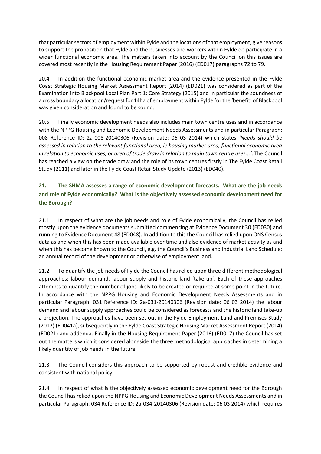that particular sectors of employment within Fylde and the locations of that employment, give reasons to support the proposition that Fylde and the businesses and workers within Fylde do participate in a wider functional economic area. The matters taken into account by the Council on this issues are covered most recently in the Housing Requirement Paper (2016) (ED017) paragraphs 72 to 79.

20.4 In addition the functional economic market area and the evidence presented in the Fylde Coast Strategic Housing Market Assessment Report (2014) (ED021) was considered as part of the Examination into Blackpool Local Plan Part 1: Core Strategy (2015) and in particular the soundness of a cross boundary allocation/request for 14ha of employment within Fylde for the 'benefit' of Blackpool was given consideration and found to be sound.

20.5 Finally economic development needs also includes main town centre uses and in accordance with the NPPG Housing and Economic Development Needs Assessments and in particular Paragraph: 008 Reference ID: 2a-008-20140306 (Revision date: 06 03 2014) which states *'Needs should be assessed in relation to the relevant functional area, ie housing market area, functional economic area in relation to economic uses, or area of trade draw in relation to main town centre uses...'*. The Council has reached a view on the trade draw and the role of its town centres firstly in The Fylde Coast Retail Study (2011) and later in the Fylde Coast Retail Study Update (2013) (ED040).

# **21. The SHMA assesses a range of economic development forecasts. What are the job needs and role of Fylde economically? What is the objectively assessed economic development need for the Borough?**

21.1 In respect of what are the job needs and role of Fylde economically, the Council has relied mostly upon the evidence documents submitted commencing at Evidence Document 30 (ED030) and running to Evidence Document 48 (ED048). In addition to this the Council has relied upon ONS Census data as and when this has been made available over time and also evidence of market activity as and when this has become known to the Council, e.g. the Council's Business and Industrial Land Schedule; an annual record of the development or otherwise of employment land.

21.2 To quantify the job needs of Fylde the Council has relied upon three different methodological approaches; labour demand, labour supply and historic land 'take-up'. Each of these approaches attempts to quantify the number of jobs likely to be created or required at some point in the future. In accordance with the NPPG Housing and Economic Development Needs Assessments and in particular Paragraph: 031 Reference ID: 2a-031-20140306 (Revision date: 06 03 2014) the labour demand and labour supply approaches could be considered as forecasts and the historic land take-up a projection. The approaches have been set out in the Fylde Employment Land and Premises Study (2012) (ED041a), subsequently in the Fylde Coast Strategic Housing Market Assessment Report (2014) (ED021) and addenda. Finally in the Housing Requirement Paper (2016) (ED017) the Council has set out the matters which it considered alongside the three methodological approaches in determining a likely quantity of job needs in the future.

21.3 The Council considers this approach to be supported by robust and credible evidence and consistent with national policy.

21.4 In respect of what is the objectively assessed economic development need for the Borough the Council has relied upon the NPPG Housing and Economic Development Needs Assessments and in particular Paragraph: 034 Reference ID: 2a-034-20140306 (Revision date: 06 03 2014) which requires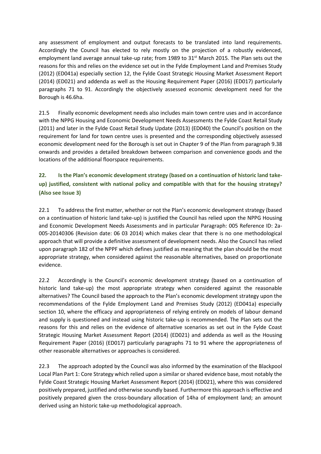any assessment of employment and output forecasts to be translated into land requirements. Accordingly the Council has elected to rely mostly on the projection of a robustly evidenced, employment land average annual take-up rate; from 1989 to 31<sup>st</sup> March 2015. The Plan sets out the reasons for this and relies on the evidence set out in the Fylde Employment Land and Premises Study (2012) (ED041a) especially section 12, the Fylde Coast Strategic Housing Market Assessment Report (2014) (ED021) and addenda as well as the Housing Requirement Paper (2016) (ED017) particularly paragraphs 71 to 91. Accordingly the objectively assessed economic development need for the Borough is 46.6ha.

21.5 Finally economic development needs also includes main town centre uses and in accordance with the NPPG Housing and Economic Development Needs Assessments the Fylde Coast Retail Study (2011) and later in the Fylde Coast Retail Study Update (2013) (ED040) the Council's position on the requirement for land for town centre uses is presented and the corresponding objectively assessed economic development need for the Borough is set out in Chapter 9 of the Plan from paragraph 9.38 onwards and provides a detailed breakdown between comparison and convenience goods and the locations of the additional floorspace requirements.

# **22. Is the Plan's economic development strategy (based on a continuation of historic land takeup) justified, consistent with national policy and compatible with that for the housing strategy? (Also see Issue 3)**

22.1 To address the first matter, whether or not the Plan's economic development strategy (based on a continuation of historic land take-up) is justified the Council has relied upon the NPPG Housing and Economic Development Needs Assessments and in particular Paragraph: 005 Reference ID: 2a-005-20140306 (Revision date: 06 03 2014) which makes clear that there is no one methodological approach that will provide a definitive assessment of development needs. Also the Council has relied upon paragraph 182 of the NPPF which defines justified as meaning that the plan should be the most appropriate strategy, when considered against the reasonable alternatives, based on proportionate evidence.

22.2 Accordingly is the Council's economic development strategy (based on a continuation of historic land take-up) the most appropriate strategy when considered against the reasonable alternatives? The Council based the approach to the Plan's economic development strategy upon the recommendations of the Fylde Employment Land and Premises Study (2012) (ED041a) especially section 10, where the efficacy and appropriateness of relying entirely on models of labour demand and supply is questioned and instead using historic take-up is recommended. The Plan sets out the reasons for this and relies on the evidence of alternative scenarios as set out in the Fylde Coast Strategic Housing Market Assessment Report (2014) (ED021) and addenda as well as the Housing Requirement Paper (2016) (ED017) particularly paragraphs 71 to 91 where the appropriateness of other reasonable alternatives or approaches is considered.

22.3 The approach adopted by the Council was also informed by the examination of the Blackpool Local Plan Part 1: Core Strategy which relied upon a similar or shared evidence base, most notably the Fylde Coast Strategic Housing Market Assessment Report (2014) (ED021), where this was considered positively prepared, justified and otherwise soundly based. Furthermore this approach is effective and positively prepared given the cross-boundary allocation of 14ha of employment land; an amount derived using an historic take-up methodological approach.